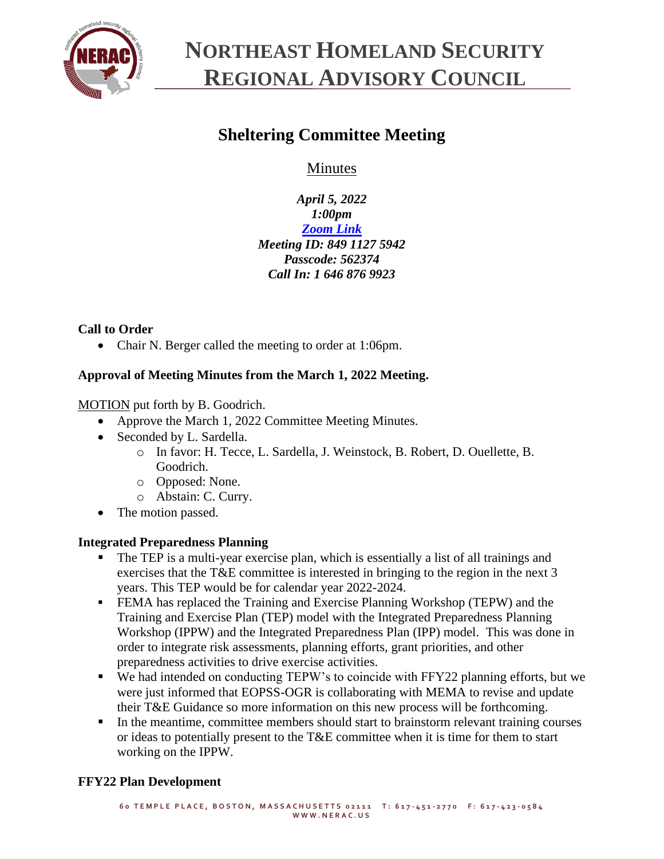

### **NORTHEAST HOMELAND SECURITY REGIONAL ADVISORY COUNCIL**

### **Sheltering Committee Meeting**

Minutes

*April 5, 2022 1:00pm [Zoom Link](https://us06web.zoom.us/j/84911275942?pwd=WWRqTVIwSFh6SDVIdWtpL2pSdkY3QT09) Meeting ID: 849 1127 5942 Passcode: 562374 Call In: 1 646 876 9923*

#### **Call to Order**

• Chair N. Berger called the meeting to order at 1:06pm.

#### **Approval of Meeting Minutes from the March 1, 2022 Meeting.**

MOTION put forth by B. Goodrich.

- Approve the March 1, 2022 Committee Meeting Minutes.
- Seconded by L. Sardella.
	- o In favor: H. Tecce, L. Sardella, J. Weinstock, B. Robert, D. Ouellette, B. Goodrich.
	- o Opposed: None.
	- o Abstain: C. Curry.
- The motion passed.

#### **Integrated Preparedness Planning**

- The TEP is a multi-year exercise plan, which is essentially a list of all trainings and exercises that the T&E committee is interested in bringing to the region in the next 3 years. This TEP would be for calendar year 2022-2024.
- **FEMA has replaced the Training and Exercise Planning Workshop (TEPW) and the** Training and Exercise Plan (TEP) model with the Integrated Preparedness Planning Workshop (IPPW) and the Integrated Preparedness Plan (IPP) model. This was done in order to integrate risk assessments, planning efforts, grant priorities, and other preparedness activities to drive exercise activities.
- We had intended on conducting TEPW's to coincide with FFY22 planning efforts, but we were just informed that EOPSS-OGR is collaborating with MEMA to revise and update their T&E Guidance so more information on this new process will be forthcoming.
- In the meantime, committee members should start to brainstorm relevant training courses or ideas to potentially present to the T&E committee when it is time for them to start working on the IPPW.

#### **FFY22 Plan Development**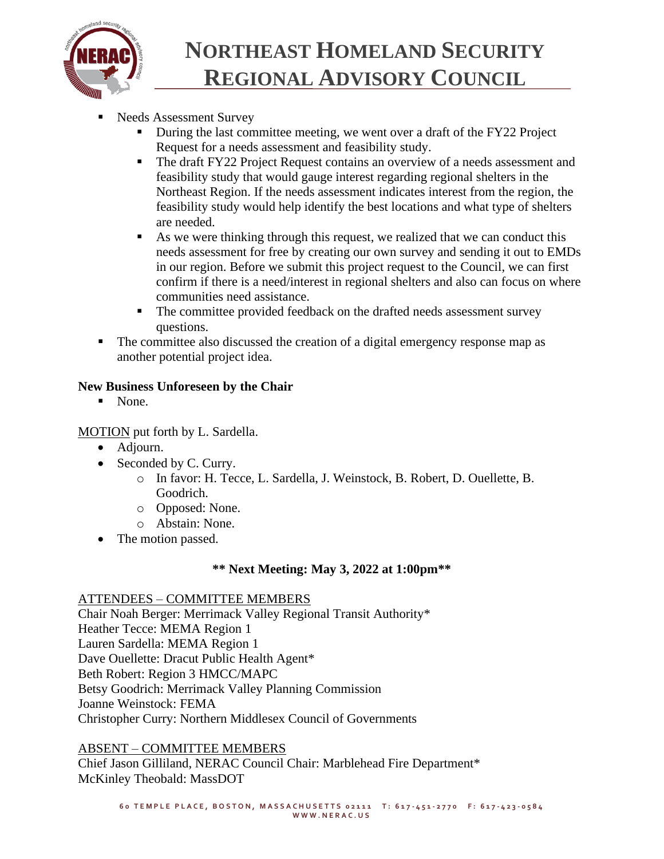

# **NORTHEAST HOMELAND SECURITY REGIONAL ADVISORY COUNCIL**

- Needs Assessment Survey
	- **•** During the last committee meeting, we went over a draft of the FY22 Project Request for a needs assessment and feasibility study.
	- **The draft FY22 Project Request contains an overview of a needs assessment and** feasibility study that would gauge interest regarding regional shelters in the Northeast Region. If the needs assessment indicates interest from the region, the feasibility study would help identify the best locations and what type of shelters are needed.
	- As we were thinking through this request, we realized that we can conduct this needs assessment for free by creating our own survey and sending it out to EMDs in our region. Before we submit this project request to the Council, we can first confirm if there is a need/interest in regional shelters and also can focus on where communities need assistance.
	- The committee provided feedback on the drafted needs assessment survey questions.
- The committee also discussed the creation of a digital emergency response map as another potential project idea.

#### **New Business Unforeseen by the Chair**

■ None.

MOTION put forth by L. Sardella.

- Adjourn.
- Seconded by C. Curry.
	- o In favor: H. Tecce, L. Sardella, J. Weinstock, B. Robert, D. Ouellette, B. Goodrich.
	- o Opposed: None.
	- o Abstain: None.
- The motion passed.

#### **\*\* Next Meeting: May 3, 2022 at 1:00pm\*\***

#### ATTENDEES – COMMITTEE MEMBERS

Chair Noah Berger: Merrimack Valley Regional Transit Authority\* Heather Tecce: MEMA Region 1 Lauren Sardella: MEMA Region 1 Dave Ouellette: Dracut Public Health Agent\* Beth Robert: Region 3 HMCC/MAPC Betsy Goodrich: Merrimack Valley Planning Commission Joanne Weinstock: FEMA Christopher Curry: Northern Middlesex Council of Governments

#### ABSENT – COMMITTEE MEMBERS

Chief Jason Gilliland, NERAC Council Chair: Marblehead Fire Department\* McKinley Theobald: MassDOT